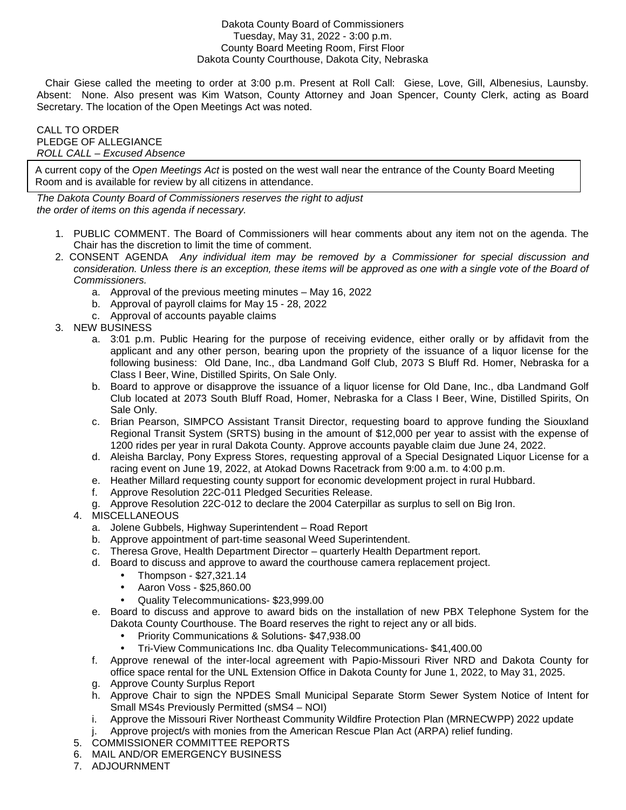## Dakota County Board of Commissioners Tuesday, May 31, 2022 - 3:00 p.m. County Board Meeting Room, First Floor Dakota County Courthouse, Dakota City, Nebraska

 Chair Giese called the meeting to order at 3:00 p.m. Present at Roll Call: Giese, Love, Gill, Albenesius, Launsby. Absent: None. Also present was Kim Watson, County Attorney and Joan Spencer, County Clerk, acting as Board Secretary. The location of the Open Meetings Act was noted.

## CALL TO ORDER PLEDGE OF ALLEGIANCE ROLL CALL – Excused Absence

A current copy of the Open Meetings Act is posted on the west wall near the entrance of the County Board Meeting Room and is available for review by all citizens in attendance.

The Dakota County Board of Commissioners reserves the right to adjust the order of items on this agenda if necessary.

- 1. PUBLIC COMMENT. The Board of Commissioners will hear comments about any item not on the agenda. The Chair has the discretion to limit the time of comment.
- 2. CONSENT AGENDA Any individual item may be removed by a Commissioner for special discussion and consideration. Unless there is an exception, these items will be approved as one with a single vote of the Board of Commissioners.
	- a. Approval of the previous meeting minutes May 16, 2022
	- b. Approval of payroll claims for May 15 28, 2022
	- c. Approval of accounts payable claims
- 3. NEW BUSINESS
	- a. 3:01 p.m. Public Hearing for the purpose of receiving evidence, either orally or by affidavit from the applicant and any other person, bearing upon the propriety of the issuance of a liquor license for the following business: Old Dane, Inc., dba Landmand Golf Club, 2073 S Bluff Rd. Homer, Nebraska for a Class I Beer, Wine, Distilled Spirits, On Sale Only.
	- b. Board to approve or disapprove the issuance of a liquor license for Old Dane, Inc., dba Landmand Golf Club located at 2073 South Bluff Road, Homer, Nebraska for a Class I Beer, Wine, Distilled Spirits, On Sale Only.
	- c. Brian Pearson, SIMPCO Assistant Transit Director, requesting board to approve funding the Siouxland Regional Transit System (SRTS) busing in the amount of \$12,000 per year to assist with the expense of 1200 rides per year in rural Dakota County. Approve accounts payable claim due June 24, 2022.
	- d. Aleisha Barclay, Pony Express Stores, requesting approval of a Special Designated Liquor License for a racing event on June 19, 2022, at Atokad Downs Racetrack from 9:00 a.m. to 4:00 p.m.
	- e. Heather Millard requesting county support for economic development project in rural Hubbard.
	- f. Approve Resolution 22C-011 Pledged Securities Release.
	- g. Approve Resolution 22C-012 to declare the 2004 Caterpillar as surplus to sell on Big Iron.
	- 4. MISCELLANEOUS
		- a. Jolene Gubbels, Highway Superintendent Road Report
		- b. Approve appointment of part-time seasonal Weed Superintendent.
		- c. Theresa Grove, Health Department Director quarterly Health Department report.
		- d. Board to discuss and approve to award the courthouse camera replacement project.
			- Thompson \$27,321.14
			- Aaron Voss \$25,860.00
			- Quality Telecommunications- \$23,999.00
		- e. Board to discuss and approve to award bids on the installation of new PBX Telephone System for the Dakota County Courthouse. The Board reserves the right to reject any or all bids.
			- Priority Communications & Solutions- \$47,938.00
			- Tri-View Communications Inc. dba Quality Telecommunications- \$41,400.00
		- f. Approve renewal of the inter-local agreement with Papio-Missouri River NRD and Dakota County for office space rental for the UNL Extension Office in Dakota County for June 1, 2022, to May 31, 2025.
		- g. Approve County Surplus Report
		- h. Approve Chair to sign the NPDES Small Municipal Separate Storm Sewer System Notice of Intent for Small MS4s Previously Permitted (sMS4 – NOI)
		- i. Approve the Missouri River Northeast Community Wildfire Protection Plan (MRNECWPP) 2022 update
		- j. Approve project/s with monies from the American Rescue Plan Act (ARPA) relief funding.
	- 5. COMMISSIONER COMMITTEE REPORTS
	- 6. MAIL AND/OR EMERGENCY BUSINESS
	- 7. ADJOURNMENT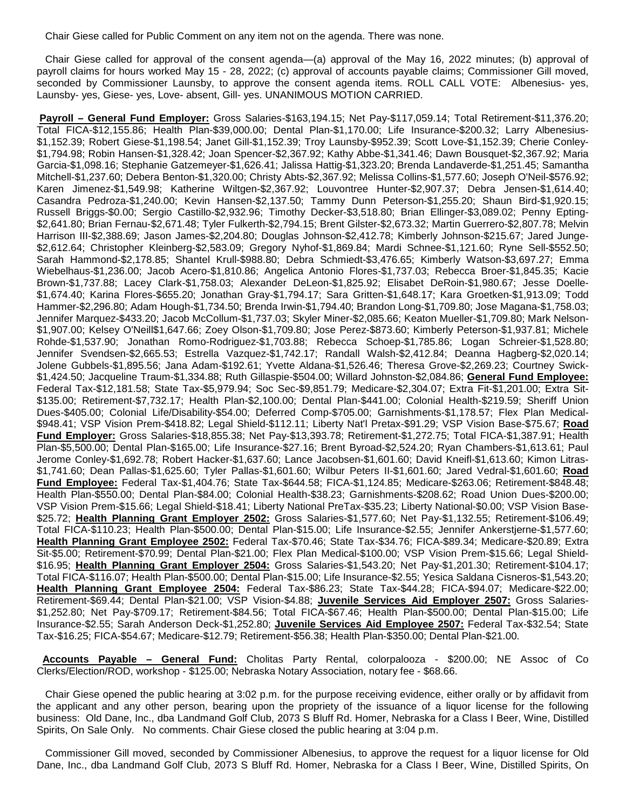Chair Giese called for Public Comment on any item not on the agenda. There was none.

 Chair Giese called for approval of the consent agenda—(a) approval of the May 16, 2022 minutes; (b) approval of payroll claims for hours worked May 15 - 28, 2022; (c) approval of accounts payable claims; Commissioner Gill moved, seconded by Commissioner Launsby, to approve the consent agenda items. ROLL CALL VOTE: Albenesius- yes, Launsby- yes, Giese- yes, Love- absent, Gill- yes. UNANIMOUS MOTION CARRIED.

 **Payroll – General Fund Employer:** Gross Salaries-\$163,194.15; Net Pay-\$117,059.14; Total Retirement-\$11,376.20; Total FICA-\$12,155.86; Health Plan-\$39,000.00; Dental Plan-\$1,170.00; Life Insurance-\$200.32; Larry Albenesius- \$1,152.39; Robert Giese-\$1,198.54; Janet Gill-\$1,152.39; Troy Launsby-\$952.39; Scott Love-\$1,152.39; Cherie Conley- \$1,794.98; Robin Hansen-\$1,328.42; Joan Spencer-\$2,367.92; Kathy Abbe-\$1,341.46; Dawn Bousquet-\$2,367.92; Maria Garcia-\$1,098.16; Stephanie Gatzemeyer-\$1,626.41; Jalissa Hattig-\$1,323.20; Brenda Landaverde-\$1,251.45; Samantha Mitchell-\$1,237.60; Debera Benton-\$1,320.00; Christy Abts-\$2,367.92; Melissa Collins-\$1,577.60; Joseph O'Neil-\$576.92; Karen Jimenez-\$1,549.98; Katherine Wiltgen-\$2,367.92; Louvontree Hunter-\$2,907.37; Debra Jensen-\$1,614.40; Casandra Pedroza-\$1,240.00; Kevin Hansen-\$2,137.50; Tammy Dunn Peterson-\$1,255.20; Shaun Bird-\$1,920.15; Russell Briggs-\$0.00; Sergio Castillo-\$2,932.96; Timothy Decker-\$3,518.80; Brian Ellinger-\$3,089.02; Penny Epting- \$2,641.80; Brian Fernau-\$2,671.48; Tyler Fulkerth-\$2,794.15; Brent Gilster-\$2,673.32; Martin Guerrero-\$2,807.78; Melvin Harrison III-\$2,388.69; Jason James-\$2,204.80; Douglas Johnson-\$2,412.78; Kimberly Johnson-\$215.67; Jared Junge- \$2,612.64; Christopher Kleinberg-\$2,583.09; Gregory Nyhof-\$1,869.84; Mardi Schnee-\$1,121.60; Ryne Sell-\$552.50; Sarah Hammond-\$2,178.85; Shantel Krull-\$988.80; Debra Schmiedt-\$3,476.65; Kimberly Watson-\$3,697.27; Emma Wiebelhaus-\$1,236.00; Jacob Acero-\$1,810.86; Angelica Antonio Flores-\$1,737.03; Rebecca Broer-\$1,845.35; Kacie Brown-\$1,737.88; Lacey Clark-\$1,758.03; Alexander DeLeon-\$1,825.92; Elisabet DeRoin-\$1,980.67; Jesse Doelle- \$1,674.40; Karina Flores-\$655.20; Jonathan Gray-\$1,794.17; Sara Gritten-\$1,648.17; Kara Groetken-\$1,913.09; Todd Hammer-\$2,296.80; Adam Hough-\$1,734.50; Brenda Irwin-\$1,794.40; Brandon Long-\$1,709.80; Jose Magana-\$1,758.03; Jennifer Marquez-\$433.20; Jacob McCollum-\$1,737.03; Skyler Miner-\$2,085.66; Keaton Mueller-\$1,709.80; Mark Nelson- \$1,907.00; Kelsey O'Neill\$1,647.66; Zoey Olson-\$1,709.80; Jose Perez-\$873.60; Kimberly Peterson-\$1,937.81; Michele Rohde-\$1,537.90; Jonathan Romo-Rodriguez-\$1,703.88; Rebecca Schoep-\$1,785.86; Logan Schreier-\$1,528.80; Jennifer Svendsen-\$2,665.53; Estrella Vazquez-\$1,742.17; Randall Walsh-\$2,412.84; Deanna Hagberg-\$2,020.14; Jolene Gubbels-\$1,895.56; Jana Adam-\$192.61; Yvette Aldana-\$1,526.46; Theresa Grove-\$2,269.23; Courtney Swick- \$1,424.50; Jacqueline Traum-\$1,334.88; Ruth Gillaspie-\$504.00; Willard Johnston-\$2,084.86; **General Fund Employee:** Federal Tax-\$12,181.58; State Tax-\$5,979.94; Soc Sec-\$9,851.79; Medicare-\$2,304.07; Extra Fit-\$1,201.00; Extra Sit- \$135.00; Retirement-\$7,732.17; Health Plan-\$2,100.00; Dental Plan-\$441.00; Colonial Health-\$219.59; Sheriff Union Dues-\$405.00; Colonial Life/Disability-\$54.00; Deferred Comp-\$705.00; Garnishments-\$1,178.57; Flex Plan Medical- \$948.41; VSP Vision Prem-\$418.82; Legal Shield-\$112.11; Liberty Nat'l Pretax-\$91.29; VSP Vision Base-\$75.67; **Road Fund Employer:** Gross Salaries-\$18,855.38; Net Pay-\$13,393.78; Retirement-\$1,272.75; Total FICA-\$1,387.91; Health Plan-\$5,500.00; Dental Plan-\$165.00; Life Insurance-\$27.16; Brent Byroad-\$2,524.20; Ryan Chambers-\$1,613.61; Paul Jerome Conley-\$1,692.78; Robert Hacker-\$1,637.60; Lance Jacobsen-\$1,601.60; David Kneifl-\$1,613.60; Kimon Litras- \$1,741.60; Dean Pallas-\$1,625.60; Tyler Pallas-\$1,601.60; Wilbur Peters II-\$1,601.60; Jared Vedral-\$1,601.60; **Road Fund Employee:** Federal Tax-\$1,404.76; State Tax-\$644.58; FICA-\$1,124.85; Medicare-\$263.06; Retirement-\$848.48; Health Plan-\$550.00; Dental Plan-\$84.00; Colonial Health-\$38.23; Garnishments-\$208.62; Road Union Dues-\$200.00; VSP Vision Prem-\$15.66; Legal Shield-\$18.41; Liberty National PreTax-\$35.23; Liberty National-\$0.00; VSP Vision Base- \$25.72; **Health Planning Grant Employer 2502:** Gross Salaries-\$1,577.60; Net Pay-\$1,132.55; Retirement-\$106.49; Total FICA-\$110.23; Health Plan-\$500.00; Dental Plan-\$15.00; Life Insurance-\$2.55; Jennifer Ankerstjerne-\$1,577.60; **Health Planning Grant Employee 2502:** Federal Tax-\$70.46; State Tax-\$34.76; FICA-\$89.34; Medicare-\$20.89; Extra Sit-\$5.00; Retirement-\$70.99; Dental Plan-\$21.00; Flex Plan Medical-\$100.00; VSP Vision Prem-\$15.66; Legal Shield- \$16.95; **Health Planning Grant Employer 2504:** Gross Salaries-\$1,543.20; Net Pay-\$1,201.30; Retirement-\$104.17; Total FICA-\$116.07; Health Plan-\$500.00; Dental Plan-\$15.00; Life Insurance-\$2.55; Yesica Saldana Cisneros-\$1,543.20; **Health Planning Grant Employee 2504:** Federal Tax-\$86.23; State Tax-\$44.28; FICA-\$94.07; Medicare-\$22.00; Retirement-\$69.44; Dental Plan-\$21.00; VSP Vision-\$4.88; **Juvenile Services Aid Employer 2507:** Gross Salaries- \$1,252.80; Net Pay-\$709.17; Retirement-\$84.56; Total FICA-\$67.46; Health Plan-\$500.00; Dental Plan-\$15.00; Life Insurance-\$2.55; Sarah Anderson Deck-\$1,252.80; **Juvenile Services Aid Employee 2507:** Federal Tax-\$32.54; State Tax-\$16.25; FICA-\$54.67; Medicare-\$12.79; Retirement-\$56.38; Health Plan-\$350.00; Dental Plan-\$21.00.

 **Accounts Payable – General Fund:** Cholitas Party Rental, colorpalooza - \$200.00; NE Assoc of Co Clerks/Election/ROD, workshop - \$125.00; Nebraska Notary Association, notary fee - \$68.66.

 Chair Giese opened the public hearing at 3:02 p.m. for the purpose receiving evidence, either orally or by affidavit from the applicant and any other person, bearing upon the propriety of the issuance of a liquor license for the following business: Old Dane, Inc., dba Landmand Golf Club, 2073 S Bluff Rd. Homer, Nebraska for a Class I Beer, Wine, Distilled Spirits, On Sale Only. No comments. Chair Giese closed the public hearing at 3:04 p.m.

 Commissioner Gill moved, seconded by Commissioner Albenesius, to approve the request for a liquor license for Old Dane, Inc., dba Landmand Golf Club, 2073 S Bluff Rd. Homer, Nebraska for a Class I Beer, Wine, Distilled Spirits, On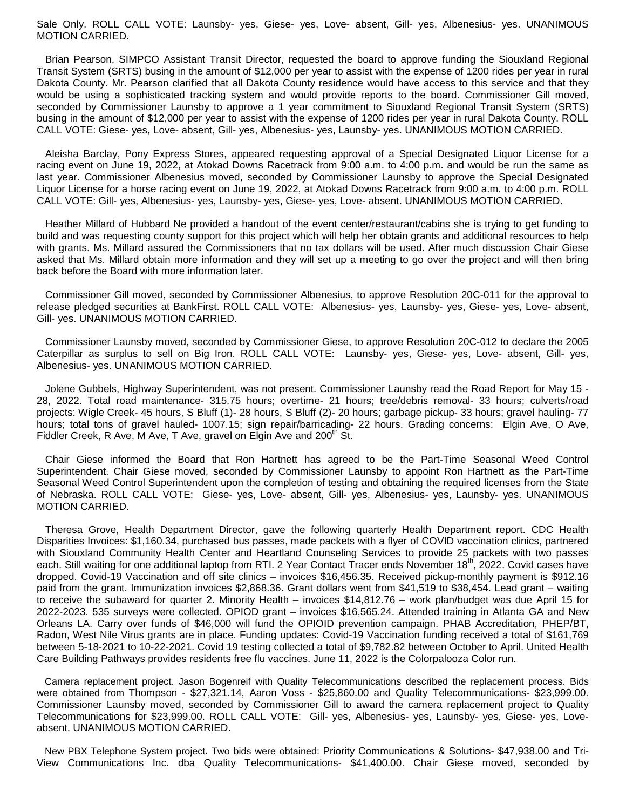Sale Only. ROLL CALL VOTE: Launsby- yes, Giese- yes, Love- absent, Gill- yes, Albenesius- yes. UNANIMOUS MOTION CARRIED.

 Brian Pearson, SIMPCO Assistant Transit Director, requested the board to approve funding the Siouxland Regional Transit System (SRTS) busing in the amount of \$12,000 per year to assist with the expense of 1200 rides per year in rural Dakota County. Mr. Pearson clarified that all Dakota County residence would have access to this service and that they would be using a sophisticated tracking system and would provide reports to the board. Commissioner Gill moved, seconded by Commissioner Launsby to approve a 1 year commitment to Siouxland Regional Transit System (SRTS) busing in the amount of \$12,000 per year to assist with the expense of 1200 rides per year in rural Dakota County. ROLL CALL VOTE: Giese- yes, Love- absent, Gill- yes, Albenesius- yes, Launsby- yes. UNANIMOUS MOTION CARRIED.

 Aleisha Barclay, Pony Express Stores, appeared requesting approval of a Special Designated Liquor License for a racing event on June 19, 2022, at Atokad Downs Racetrack from 9:00 a.m. to 4:00 p.m. and would be run the same as last year. Commissioner Albenesius moved, seconded by Commissioner Launsby to approve the Special Designated Liquor License for a horse racing event on June 19, 2022, at Atokad Downs Racetrack from 9:00 a.m. to 4:00 p.m. ROLL CALL VOTE: Gill- yes, Albenesius- yes, Launsby- yes, Giese- yes, Love- absent. UNANIMOUS MOTION CARRIED.

 Heather Millard of Hubbard Ne provided a handout of the event center/restaurant/cabins she is trying to get funding to build and was requesting county support for this project which will help her obtain grants and additional resources to help with grants. Ms. Millard assured the Commissioners that no tax dollars will be used. After much discussion Chair Giese asked that Ms. Millard obtain more information and they will set up a meeting to go over the project and will then bring back before the Board with more information later.

 Commissioner Gill moved, seconded by Commissioner Albenesius, to approve Resolution 20C-011 for the approval to release pledged securities at BankFirst. ROLL CALL VOTE: Albenesius- yes, Launsby- yes, Giese- yes, Love- absent, Gill- yes. UNANIMOUS MOTION CARRIED.

 Commissioner Launsby moved, seconded by Commissioner Giese, to approve Resolution 20C-012 to declare the 2005 Caterpillar as surplus to sell on Big Iron. ROLL CALL VOTE: Launsby- yes, Giese- yes, Love- absent, Gill- yes, Albenesius- yes. UNANIMOUS MOTION CARRIED.

 Jolene Gubbels, Highway Superintendent, was not present. Commissioner Launsby read the Road Report for May 15 - 28, 2022. Total road maintenance- 315.75 hours; overtime- 21 hours; tree/debris removal- 33 hours; culverts/road projects: Wigle Creek- 45 hours, S Bluff (1)- 28 hours, S Bluff (2)- 20 hours; garbage pickup- 33 hours; gravel hauling- 77 hours; total tons of gravel hauled- 1007.15; sign repair/barricading- 22 hours. Grading concerns: Elgin Ave, O Ave, Fiddler Creek, R Ave, M Ave, T Ave, gravel on Elgin Ave and 200<sup>th</sup> St.

 Chair Giese informed the Board that Ron Hartnett has agreed to be the Part-Time Seasonal Weed Control Superintendent. Chair Giese moved, seconded by Commissioner Launsby to appoint Ron Hartnett as the Part-Time Seasonal Weed Control Superintendent upon the completion of testing and obtaining the required licenses from the State of Nebraska. ROLL CALL VOTE: Giese- yes, Love- absent, Gill- yes, Albenesius- yes, Launsby- yes. UNANIMOUS MOTION CARRIED.

 Theresa Grove, Health Department Director, gave the following quarterly Health Department report. CDC Health Disparities Invoices: \$1,160.34, purchased bus passes, made packets with a flyer of COVID vaccination clinics, partnered with Siouxland Community Health Center and Heartland Counseling Services to provide 25 packets with two passes each. Still waiting for one additional laptop from RTI. 2 Year Contact Tracer ends November 18<sup>th</sup>, 2022. Covid cases have dropped. Covid-19 Vaccination and off site clinics – invoices \$16,456.35. Received pickup-monthly payment is \$912.16 paid from the grant. Immunization invoices \$2,868.36. Grant dollars went from \$41,519 to \$38,454. Lead grant – waiting to receive the subaward for quarter 2. Minority Health – invoices \$14,812.76 – work plan/budget was due April 15 for 2022-2023. 535 surveys were collected. OPIOD grant – invoices \$16,565.24. Attended training in Atlanta GA and New Orleans LA. Carry over funds of \$46,000 will fund the OPIOID prevention campaign. PHAB Accreditation, PHEP/BT, Radon, West Nile Virus grants are in place. Funding updates: Covid-19 Vaccination funding received a total of \$161,769 between 5-18-2021 to 10-22-2021. Covid 19 testing collected a total of \$9,782.82 between October to April. United Health Care Building Pathways provides residents free flu vaccines. June 11, 2022 is the Colorpalooza Color run.

 Camera replacement project. Jason Bogenreif with Quality Telecommunications described the replacement process. Bids were obtained from Thompson - \$27,321.14, Aaron Voss - \$25,860.00 and Quality Telecommunications- \$23,999.00. Commissioner Launsby moved, seconded by Commissioner Gill to award the camera replacement project to Quality Telecommunications for \$23,999.00. ROLL CALL VOTE: Gill- yes, Albenesius- yes, Launsby- yes, Giese- yes, Loveabsent. UNANIMOUS MOTION CARRIED.

 New PBX Telephone System project. Two bids were obtained: Priority Communications & Solutions- \$47,938.00 and Tri-View Communications Inc. dba Quality Telecommunications- \$41,400.00. Chair Giese moved, seconded by